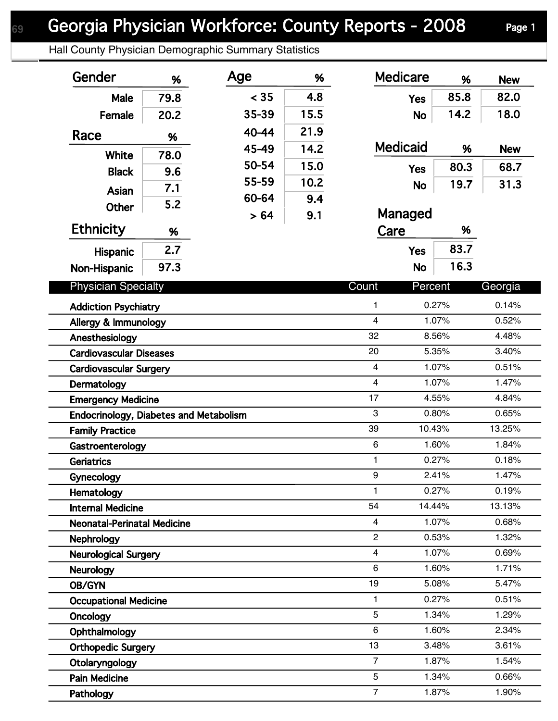Hall County Physician Demographic Summary Statistics

| Gender                                        | %    | Age   | %    | <b>Medicare</b>         | %      | <b>New</b> |
|-----------------------------------------------|------|-------|------|-------------------------|--------|------------|
| Male                                          | 79.8 | < 35  | 4.8  | <b>Yes</b>              | 85.8   | 82.0       |
| Female                                        | 20.2 | 35-39 | 15.5 | <b>No</b>               | 14.2   | 18.0       |
| Race                                          |      | 40-44 | 21.9 |                         |        |            |
|                                               | %    | 45-49 | 14.2 | <b>Medicaid</b>         | %      | <b>New</b> |
| White                                         | 78.0 | 50-54 | 15.0 |                         | 80.3   | 68.7       |
| <b>Black</b>                                  | 9.6  | 55-59 | 10.2 | <b>Yes</b>              |        |            |
| Asian                                         | 7.1  | 60-64 | 9.4  | <b>No</b>               | 19.7   | 31.3       |
| <b>Other</b>                                  | 5.2  | > 64  | 9.1  | Managed                 |        |            |
| <b>Ethnicity</b>                              | %    |       |      | Care                    | %      |            |
|                                               | 2.7  |       |      | <b>Yes</b>              | 83.7   |            |
| <b>Hispanic</b>                               | 97.3 |       |      | <b>No</b>               | 16.3   |            |
| Non-Hispanic                                  |      |       |      |                         |        |            |
| <b>Physician Specialty</b>                    |      |       |      | Count<br>Percent        |        | Georgia    |
| <b>Addiction Psychiatry</b>                   |      |       |      | 1                       | 0.27%  | 0.14%      |
| Allergy & Immunology                          |      |       |      | $\overline{\mathbf{4}}$ | 1.07%  | 0.52%      |
| Anesthesiology                                |      |       |      | 32                      | 8.56%  | 4.48%      |
| <b>Cardiovascular Diseases</b>                |      |       |      | 20                      | 5.35%  | 3.40%      |
| <b>Cardiovascular Surgery</b>                 |      |       |      | 4                       | 1.07%  | 0.51%      |
| Dermatology                                   |      |       |      | 4<br>1.07%              |        | 1.47%      |
| <b>Emergency Medicine</b>                     |      |       |      | 17                      | 4.55%  | 4.84%      |
| <b>Endocrinology, Diabetes and Metabolism</b> |      |       |      | 3                       | 0.80%  | 0.65%      |
| <b>Family Practice</b>                        |      |       |      | 39                      | 10.43% | 13.25%     |
| Gastroenterology                              |      |       |      | $\,6$                   | 1.60%  | 1.84%      |
| <b>Geriatrics</b>                             |      |       |      | 1                       | 0.27%  | 0.18%      |
| Gynecology                                    |      |       |      | 9                       | 2.41%  | 1.47%      |
| Hematology                                    |      |       |      | 1                       | 0.27%  | 0.19%      |
| <b>Internal Medicine</b>                      |      |       |      | 54                      | 14.44% | 13.13%     |
| <b>Neonatal-Perinatal Medicine</b>            |      |       |      | $\overline{4}$          | 1.07%  | 0.68%      |
| Nephrology                                    |      |       |      | $\overline{2}$          | 0.53%  | 1.32%      |
| <b>Neurological Surgery</b>                   |      |       |      | 4                       | 1.07%  | 0.69%      |
| <b>Neurology</b>                              |      |       |      | 6                       | 1.60%  | 1.71%      |
| OB/GYN                                        |      |       |      | 19                      | 5.08%  | 5.47%      |
| <b>Occupational Medicine</b>                  |      |       |      | 1                       | 0.27%  | 0.51%      |
| Oncology                                      |      |       |      | 5                       | 1.34%  | 1.29%      |
| Ophthalmology                                 |      |       |      | 6                       | 1.60%  | 2.34%      |
| <b>Orthopedic Surgery</b>                     |      |       |      | 13                      | 3.48%  | 3.61%      |
| Otolaryngology                                |      |       |      | $\overline{7}$          | 1.87%  | 1.54%      |
| <b>Pain Medicine</b>                          |      |       |      | 5                       | 1.34%  | 0.66%      |
| Pathology                                     |      |       |      | $\overline{7}$          | 1.87%  | 1.90%      |